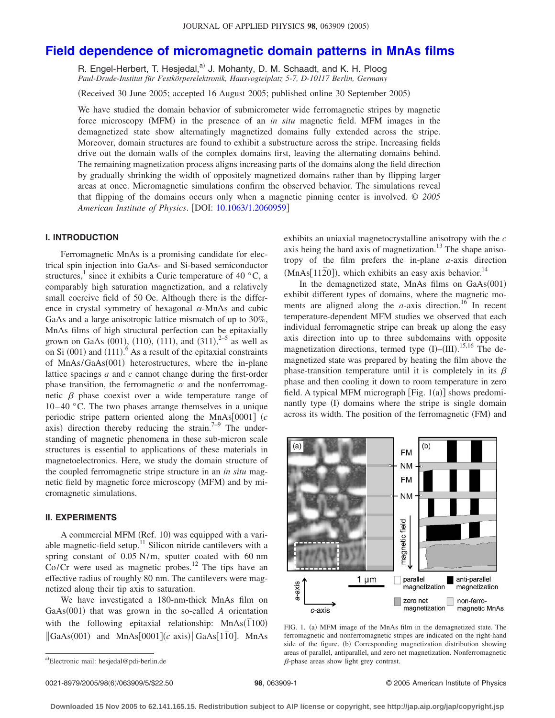# **[Field dependence of micromagnetic domain patterns in MnAs films](http://dx.doi.org/10.1063/1.2060959)**

R. Engel-Herbert, T. Hesjedal,<sup>a)</sup> J. Mohanty, D. M. Schaadt, and K. H. Ploog *Paul-Drude-Institut für Festkörperelektronik, Hausvogteiplatz 5-7, D-10117 Berlin, Germany*

Received 30 June 2005; accepted 16 August 2005; published online 30 September 2005-

We have studied the domain behavior of submicrometer wide ferromagnetic stripes by magnetic force microscopy (MFM) in the presence of an *in situ* magnetic field. MFM images in the demagnetized state show alternatingly magnetized domains fully extended across the stripe. Moreover, domain structures are found to exhibit a substructure across the stripe. Increasing fields drive out the domain walls of the complex domains first, leaving the alternating domains behind. The remaining magnetization process aligns increasing parts of the domains along the field direction by gradually shrinking the width of oppositely magnetized domains rather than by flipping larger areas at once. Micromagnetic simulations confirm the observed behavior. The simulations reveal that flipping of the domains occurs only when a magnetic pinning center is involved. © *2005 American Institute of Physics*. DOI: [10.1063/1.2060959](http://dx.doi.org/10.1063/1.2060959)

# **I. INTRODUCTION**

Ferromagnetic MnAs is a promising candidate for electrical spin injection into GaAs- and Si-based semiconductor structures,<sup>1</sup> since it exhibits a Curie temperature of 40  $^{\circ}$ C, a comparably high saturation magnetization, and a relatively small coercive field of 50 Oe. Although there is the difference in crystal symmetry of hexagonal  $\alpha$ -MnAs and cubic GaAs and a large anisotropic lattice mismatch of up to 30%, MnAs films of high structural perfection can be epitaxially grown on GaAs  $(001)$ ,  $(110)$ ,  $(111)$ , and  $(311)$ ,  $^{2-5}$  as well as on Si  $(001)$  and  $(111)$ . As a result of the epitaxial constraints of MnAs/GaAs(001) heterostructures, where the in-plane lattice spacings *a* and *c* cannot change during the first-order phase transition, the ferromagnetic  $\alpha$  and the nonferromagnetic  $\beta$  phase coexist over a wide temperature range of  $10-40$  °C. The two phases arrange themselves in a unique periodic stripe pattern oriented along the MnAs $[0001]$   $(c$ axis) direction thereby reducing the strain.<sup>7–9</sup> The understanding of magnetic phenomena in these sub-micron scale structures is essential to applications of these materials in magnetoelectronics. Here, we study the domain structure of the coupled ferromagnetic stripe structure in an *in situ* magnetic field by magnetic force microscopy (MFM) and by micromagnetic simulations.

## **II. EXPERIMENTS**

A commercial MFM (Ref. 10) was equipped with a variable magnetic-field setup.<sup>11</sup> Silicon nitride cantilevers with a spring constant of 0.05 N/m, sputter coated with 60 nm Co/Cr were used as magnetic probes.<sup>12</sup> The tips have an effective radius of roughly 80 nm. The cantilevers were magnetized along their tip axis to saturation.

We have investigated a 180-nm-thick MnAs film on GaAs(001) that was grown in the so-called *A* orientation with the following epitaxial relationship: MnAs( $\overline{1100}$ )  $\begin{bmatrix} \text{GaAs}(001) & \text{and} & \text{MnAs}[0001](c & \text{axis}) & \text{GaAs}[1\overline{1}0] \end{bmatrix}$ . MnAs

exhibits an uniaxial magnetocrystalline anisotropy with the *c* axis being the hard axis of magnetization. $13$  The shape anisotropy of the film prefers the in-plane *a*-axis direction  $(MnAs[11\overline{2}0])$ , which exhibits an easy axis behavior.<sup>14</sup>

In the demagnetized state, MnAs films on GaAs(001) exhibit different types of domains, where the magnetic moments are aligned along the  $a$ -axis direction.<sup>16</sup> In recent temperature-dependent MFM studies we observed that each individual ferromagnetic stripe can break up along the easy axis direction into up to three subdomains with opposite magnetization directions, termed type  $(I)$ – $(III)$ .<sup>15,16</sup> The demagnetized state was prepared by heating the film above the phase-transition temperature until it is completely in its  $\beta$ phase and then cooling it down to room temperature in zero field. A typical MFM micrograph [Fig. 1(a)] shows predominantly type (I) domains where the stripe is single domain across its width. The position of the ferromagnetic (FM) and



FIG. 1. (a) MFM image of the MnAs film in the demagnetized state. The ferromagnetic and nonferromagnetic stripes are indicated on the right-hand side of the figure. (b) Corresponding magnetization distribution showing areas of parallel, antiparallel, and zero net magnetization. Nonferromagnetic  $\beta$ -phase areas show light grey contrast.

a)Electronic mail: hesjedal@pdi-berlin.de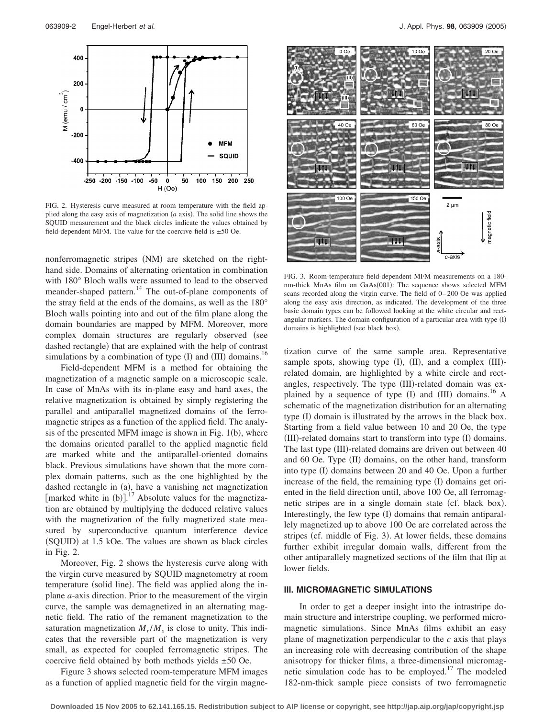

FIG. 2. Hysteresis curve measured at room temperature with the field applied along the easy axis of magnetization  $(a \text{ axis})$ . The solid line shows the SQUID measurement and the black circles indicate the values obtained by field-dependent MFM. The value for the coercive field is  $\pm 50$  Oe.

nonferromagnetic stripes (NM) are sketched on the righthand side. Domains of alternating orientation in combination with 180° Bloch walls were assumed to lead to the observed meander-shaped pattern.<sup>14</sup> The out-of-plane components of the stray field at the ends of the domains, as well as the 180° Bloch walls pointing into and out of the film plane along the domain boundaries are mapped by MFM. Moreover, more complex domain structures are regularly observed (see dashed rectangle) that are explained with the help of contrast simulations by a combination of type  $(I)$  and  $(III)$  domains.<sup>16</sup>

Field-dependent MFM is a method for obtaining the magnetization of a magnetic sample on a microscopic scale. In case of MnAs with its in-plane easy and hard axes, the relative magnetization is obtained by simply registering the parallel and antiparallel magnetized domains of the ferromagnetic stripes as a function of the applied field. The analysis of the presented MFM image is shown in Fig.  $1(b)$ , where the domains oriented parallel to the applied magnetic field are marked white and the antiparallel-oriented domains black. Previous simulations have shown that the more complex domain patterns, such as the one highlighted by the dashed rectangle in (a), have a vanishing net magnetization [marked white in  $(b)$ ].<sup>17</sup> Absolute values for the magnetization are obtained by multiplying the deduced relative values with the magnetization of the fully magnetized state measured by superconductive quantum interference device (SQUID) at 1.5 kOe. The values are shown as black circles in Fig. 2.

Moreover, Fig. 2 shows the hysteresis curve along with the virgin curve measured by SQUID magnetometry at room temperature (solid line). The field was applied along the inplane *a*-axis direction. Prior to the measurement of the virgin curve, the sample was demagnetized in an alternating magnetic field. The ratio of the remanent magnetization to the saturation magnetization  $M_r/M_s$  is close to unity. This indicates that the reversible part of the magnetization is very small, as expected for coupled ferromagnetic stripes. The coercive field obtained by both methods yields ±50 Oe.

Figure 3 shows selected room-temperature MFM images as a function of applied magnetic field for the virgin magne-



FIG. 3. Room-temperature field-dependent MFM measurements on a 180 nm-thick MnAs film on GaAs(001): The sequence shows selected MFM scans recorded along the virgin curve. The field of  $0-200$  Oe was applied along the easy axis direction, as indicated. The development of the three basic domain types can be followed looking at the white circular and rectangular markers. The domain configuration of a particular area with type (I) domains is highlighted (see black box).

tization curve of the same sample area. Representative sample spots, showing type (I), (II), and a complex (III)related domain, are highlighted by a white circle and rectangles, respectively. The type (III)-related domain was explained by a sequence of type  $(I)$  and  $(III)$  domains.<sup>16</sup> A schematic of the magnetization distribution for an alternating type (I) domain is illustrated by the arrows in the black box. Starting from a field value between 10 and 20 Oe, the type (III)-related domains start to transform into type (I) domains. The last type (III)-related domains are driven out between 40 and 60 Oe. Type (II) domains, on the other hand, transform into type (I) domains between 20 and 40 Oe. Upon a further increase of the field, the remaining type (I) domains get oriented in the field direction until, above 100 Oe, all ferromagnetic stripes are in a single domain state (cf. black box). Interestingly, the few type (I) domains that remain antiparallely magnetized up to above 100 Oe are correlated across the stripes (cf. middle of Fig. 3). At lower fields, these domains further exhibit irregular domain walls, different from the other antiparallely magnetized sections of the film that flip at lower fields.

#### **III. MICROMAGNETIC SIMULATIONS**

In order to get a deeper insight into the intrastripe domain structure and interstripe coupling, we performed micromagnetic simulations. Since MnAs films exhibit an easy plane of magnetization perpendicular to the *c* axis that plays an increasing role with decreasing contribution of the shape anisotropy for thicker films, a three-dimensional micromagnetic simulation code has to be employed.<sup>17</sup> The modeled 182-nm-thick sample piece consists of two ferromagnetic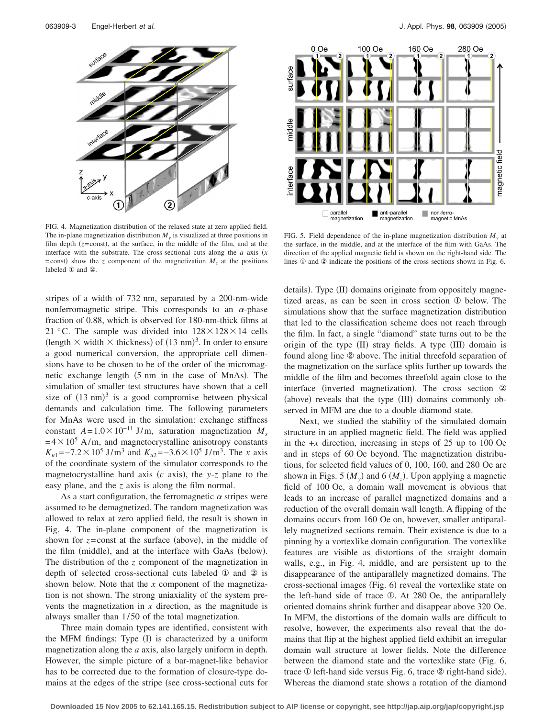

FIG. 4. Magnetization distribution of the relaxed state at zero applied field. The in-plane magnetization distribution  $M_{v}$  is visualized at three positions in film depth  $(z = const)$ , at the surface, in the middle of the film, and at the interface with the substrate. The cross-sectional cuts along the  $a$  axis  $(x)$  $=$ const) show the *z* component of the magnetization  $M<sub>z</sub>$  at the positions labeled ① and ②.

stripes of a width of 732 nm, separated by a 200-nm-wide nonferromagnetic stripe. This corresponds to an  $\alpha$ -phase fraction of 0.88, which is observed for 180-nm-thick films at 21 °C. The sample was divided into  $128 \times 128 \times 14$  cells (length  $\times$  width  $\times$  thickness) of (13 nm)<sup>3</sup>. In order to ensure a good numerical conversion, the appropriate cell dimensions have to be chosen to be of the order of the micromagnetic exchange length (5 nm in the case of MnAs). The simulation of smaller test structures have shown that a cell size of  $(13 \text{ nm})^3$  is a good compromise between physical demands and calculation time. The following parameters for MnAs were used in the simulation: exchange stiffness constant  $A = 1.0 \times 10^{-11}$  J/m, saturation magnetization  $M_s$  $= 4 \times 10^5$  A/m, and magnetocrystalline anisotropy constants  $K_{u1} = -7.2 \times 10^5 \text{ J/m}^3$  and  $K_{u2} = -3.6 \times 10^5 \text{ J/m}^3$ . The *x* axis of the coordinate system of the simulator corresponds to the magnetocrystalline hard axis  $(c \text{ axis})$ , the *y*-*z* plane to the easy plane, and the *z* axis is along the film normal.

As a start configuration, the ferromagnetic  $\alpha$  stripes were assumed to be demagnetized. The random magnetization was allowed to relax at zero applied field, the result is shown in Fig. 4. The in-plane component of the magnetization is shown for  $z = const$  at the surface (above), in the middle of the film (middle), and at the interface with GaAs (below). The distribution of the *z* component of the magnetization in depth of selected cross-sectional cuts labeled ① and ② is shown below. Note that the *x* component of the magnetization is not shown. The strong uniaxiality of the system prevents the magnetization in *x* direction, as the magnitude is always smaller than  $1/50$  of the total magnetization.

Three main domain types are identified, consistent with the MFM findings: Type (I) is characterized by a uniform magnetization along the *a* axis, also largely uniform in depth. However, the simple picture of a bar-magnet-like behavior has to be corrected due to the formation of closure-type domains at the edges of the stripe (see cross-sectional cuts for



FIG. 5. Field dependence of the in-plane magnetization distribution  $M_{v}$  at the surface, in the middle, and at the interface of the film with GaAs. The direction of the applied magnetic field is shown on the right-hand side. The lines ① and ② indicate the positions of the cross sections shown in Fig. 6.

details). Type (II) domains originate from oppositely magnetized areas, as can be seen in cross section ① below. The simulations show that the surface magnetization distribution that led to the classification scheme does not reach through the film. In fact, a single "diamond" state turns out to be the origin of the type (II) stray fields. A type (III) domain is found along line ② above. The initial threefold separation of the magnetization on the surface splits further up towards the middle of the film and becomes threefold again close to the interface (inverted magnetization). The cross section 2 (above) reveals that the type (III) domains commonly observed in MFM are due to a double diamond state.

Next, we studied the stability of the simulated domain structure in an applied magnetic field. The field was applied in the  $+x$  direction, increasing in steps of 25 up to 100 Oe and in steps of 60 Oe beyond. The magnetization distributions, for selected field values of 0, 100, 160, and 280 Oe are shown in Figs. 5  $(M_y)$  and 6  $(M_z)$ . Upon applying a magnetic field of 100 Oe, a domain wall movement is obvious that leads to an increase of parallel magnetized domains and a reduction of the overall domain wall length. A flipping of the domains occurs from 160 Oe on, however, smaller antiparallely magnetized sections remain. Their existence is due to a pinning by a vortexlike domain configuration. The vortexlike features are visible as distortions of the straight domain walls, e.g., in Fig. 4, middle, and are persistent up to the disappearance of the antiparallely magnetized domains. The cross-sectional images (Fig. 6) reveal the vortexlike state on the left-hand side of trace ①. At 280 Oe, the antiparallely oriented domains shrink further and disappear above 320 Oe. In MFM, the distortions of the domain walls are difficult to resolve, however, the experiments also reveal that the domains that flip at the highest applied field exhibit an irregular domain wall structure at lower fields. Note the difference between the diamond state and the vortexlike state (Fig. 6, trace  $\Phi$  left-hand side versus Fig. 6, trace  $\Phi$  right-hand side). Whereas the diamond state shows a rotation of the diamond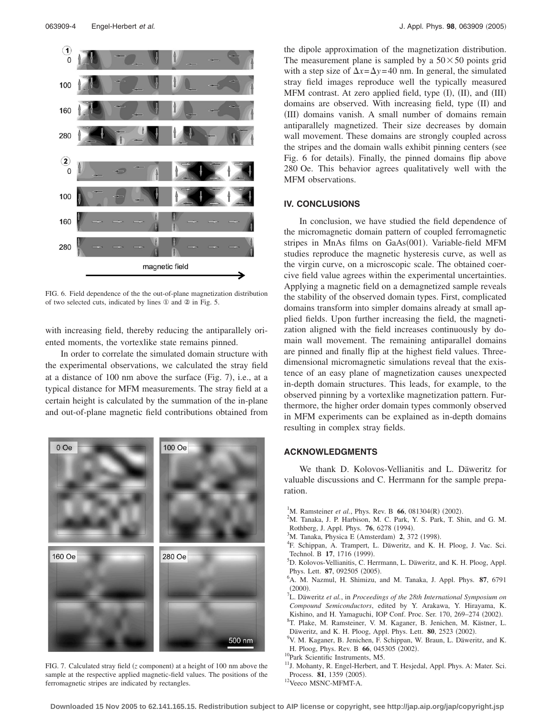

FIG. 6. Field dependence of the the out-of-plane magnetization distribution of two selected cuts, indicated by lines ① and ② in Fig. 5.

with increasing field, thereby reducing the antiparallely oriented moments, the vortexlike state remains pinned.

In order to correlate the simulated domain structure with the experimental observations, we calculated the stray field at a distance of 100 nm above the surface (Fig. 7), i.e., at a typical distance for MFM measurements. The stray field at a certain height is calculated by the summation of the in-plane and out-of-plane magnetic field contributions obtained from



FIG. 7. Calculated stray field (z component) at a height of 100 nm above the sample at the respective applied magnetic-field values. The positions of the ferromagnetic stripes are indicated by rectangles.

the dipole approximation of the magnetization distribution. The measurement plane is sampled by a  $50 \times 50$  points grid with a step size of  $\Delta x = \Delta y = 40$  nm. In general, the simulated stray field images reproduce well the typically measured MFM contrast. At zero applied field, type (I), (II), and (III) domains are observed. With increasing field, type (II) and (III) domains vanish. A small number of domains remain antiparallely magnetized. Their size decreases by domain wall movement. These domains are strongly coupled across the stripes and the domain walls exhibit pinning centers (see Fig. 6 for details). Finally, the pinned domains flip above 280 Oe. This behavior agrees qualitatively well with the MFM observations.

## **IV. CONCLUSIONS**

In conclusion, we have studied the field dependence of the micromagnetic domain pattern of coupled ferromagnetic stripes in MnAs films on GaAs(001). Variable-field MFM studies reproduce the magnetic hysteresis curve, as well as the virgin curve, on a microscopic scale. The obtained coercive field value agrees within the experimental uncertainties. Applying a magnetic field on a demagnetized sample reveals the stability of the observed domain types. First, complicated domains transform into simpler domains already at small applied fields. Upon further increasing the field, the magnetization aligned with the field increases continuously by domain wall movement. The remaining antiparallel domains are pinned and finally flip at the highest field values. Threedimensional micromagnetic simulations reveal that the existence of an easy plane of magnetization causes unexpected in-depth domain structures. This leads, for example, to the observed pinning by a vortexlike magnetization pattern. Furthermore, the higher order domain types commonly observed in MFM experiments can be explained as in-depth domains resulting in complex stray fields.

### **ACKNOWLEDGMENTS**

We thank D. Kolovos-Vellianitis and L. Däweritz for valuable discussions and C. Herrmann for the sample preparation.

- <sup>1</sup>M. Ramsteiner *et al.*, Phys. Rev. B **66**, 081304(R) (2002).
- <sup>2</sup>M. Tanaka, J. P. Harbison, M. C. Park, Y. S. Park, T. Shin, and G. M. Rothberg, J. Appl. Phys. **76**, 6278 (1994).
- <sup>3</sup>M. Tanaka, Physica E (Amsterdam) **2**, 372 (1998).
- <sup>4</sup>F. Schippan, A. Trampert, L. Däweritz, and K. H. Ploog, J. Vac. Sci. Technol. B  $17$ , 1716 (1999).
- <sup>5</sup>D. Kolovos-Vellianitis, C. Herrmann, L. Däweritz, and K. H. Ploog, Appl. Phys. Lett. **87**, 092505 (2005).
- A. M. Nazmul, H. Shimizu, and M. Tanaka, J. Appl. Phys. **87**, 6791  $(2000)$ . <sup>7</sup> L. Däweritz *et al.*, in *Proceedings of the 28th International Symposium on*
- *Compound Semiconductors*, edited by Y. Arakawa, Y. Hirayama, K. Kishino, and H. Yamaguchi, IOP Conf. Proc. Ser. 170, 269–274 (2002).<br><sup>8</sup>T. Plake, M. Barnsteiner, V. M. Kagapar, B. Janishan, M. Kägtner, J.
- T. Plake, M. Ramsteiner, V. M. Kaganer, B. Jenichen, M. Kästner, L. Däweritz, and K. H. Ploog, Appl. Phys. Lett. **80**, 2523 (2002).
- V. M. Kaganer, B. Jenichen, F. Schippan, W. Braun, L. Däweritz, and K. H. Ploog, Phys. Rev. B **66**, 045305 (2002).
- <sup>10</sup>Park Scientific Instruments, M5.
- <sup>11</sup>J. Mohanty, R. Engel-Herbert, and T. Hesjedal, Appl. Phys. A: Mater. Sci. Process. **81**, 1359 (2005).
- <sup>12</sup>Veeco MSNC-MFMT-A.